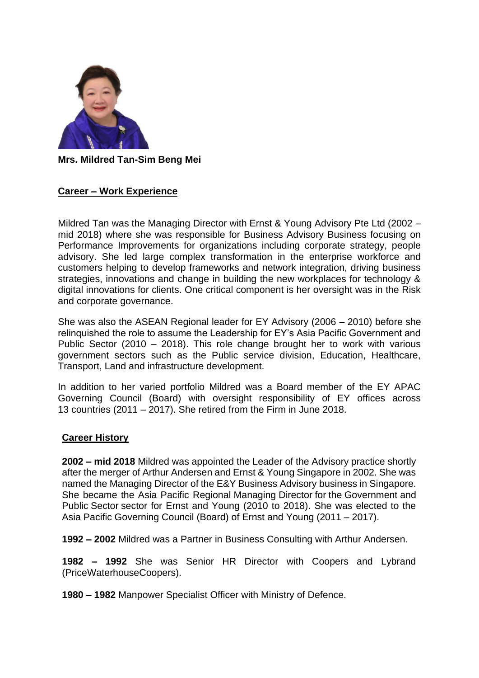

**Mrs. Mildred Tan-Sim Beng Mei**

## **Career – Work Experience**

Mildred Tan was the Managing Director with Ernst & Young Advisory Pte Ltd (2002 – mid 2018) where she was responsible for Business Advisory Business focusing on Performance Improvements for organizations including corporate strategy, people advisory. She led large complex transformation in the enterprise workforce and customers helping to develop frameworks and network integration, driving business strategies, innovations and change in building the new workplaces for technology & digital innovations for clients. One critical component is her oversight was in the Risk and corporate governance.

She was also the ASEAN Regional leader for EY Advisory (2006 – 2010) before she relinquished the role to assume the Leadership for EY's Asia Pacific Government and Public Sector (2010 – 2018). This role change brought her to work with various government sectors such as the Public service division, Education, Healthcare, Transport, Land and infrastructure development.

In addition to her varied portfolio Mildred was a Board member of the EY APAC Governing Council (Board) with oversight responsibility of EY offices across 13 countries (2011 – 2017). She retired from the Firm in June 2018.

## **Career History**

**2002 – mid 2018** Mildred was appointed the Leader of the Advisory practice shortly after the merger of Arthur Andersen and Ernst & Young Singapore in 2002. She was named the Managing Director of the E&Y Business Advisory business in Singapore. She became the Asia Pacific Regional Managing Director for the Government and Public Sector sector for Ernst and Young (2010 to 2018). She was elected to the Asia Pacific Governing Council (Board) of Ernst and Young (2011 – 2017).

**1992 – 2002** Mildred was a Partner in Business Consulting with Arthur Andersen.

**1982 – 1992** She was Senior HR Director with Coopers and Lybrand (PriceWaterhouseCoopers).

**1980** – **1982** Manpower Specialist Officer with Ministry of Defence.